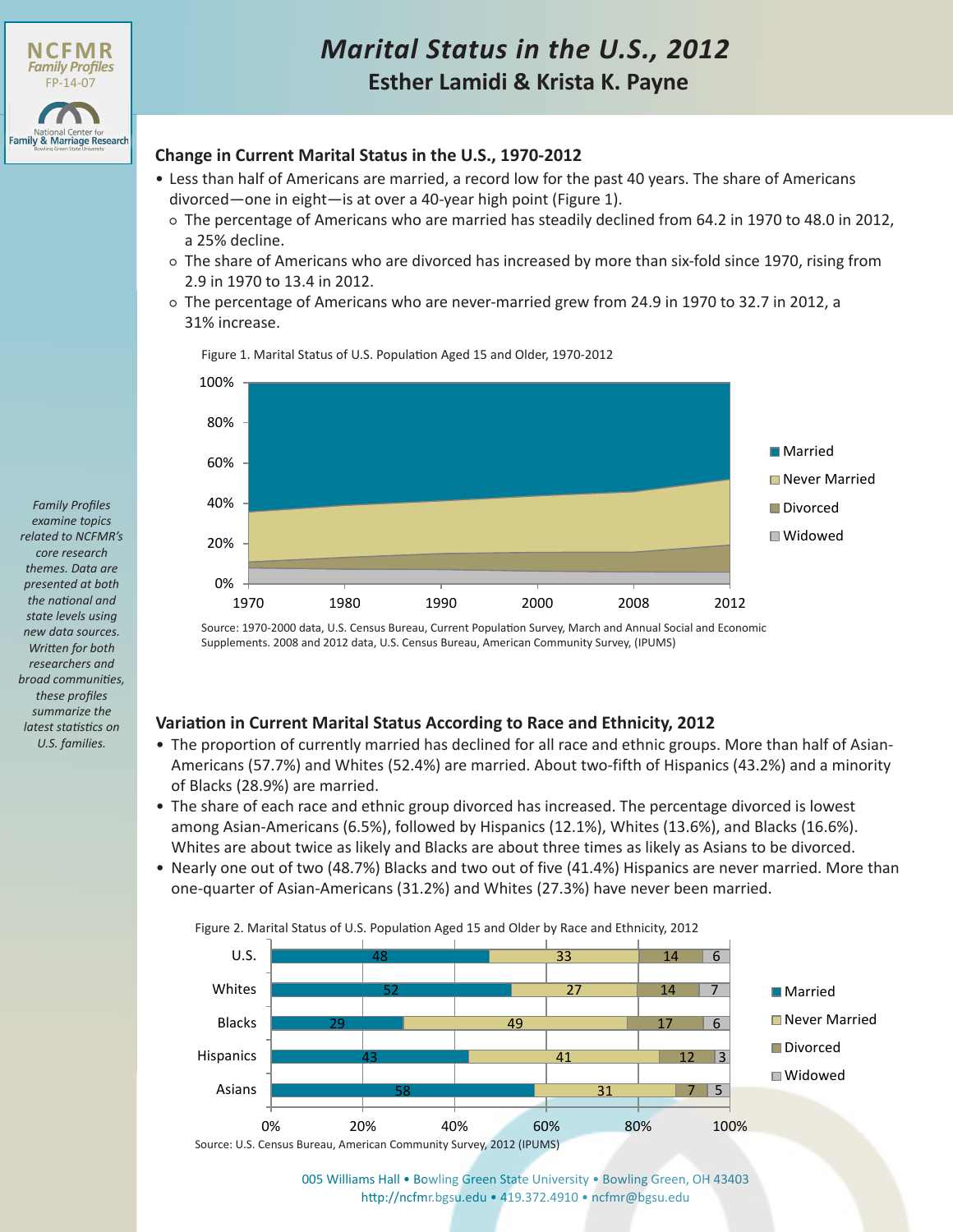

# **Esther Lamidi & Krista K. Payne** *Marital Status in the U.S., 2012*

### **Change in Current Marital Status in the U.S., 1970-2012**

- Less than half of Americans are married, a record low for the past 40 years. The share of Americans divorced—one in eight—is at over a 40-year high point (Figure 1).
	- The percentage of Americans who are married has steadily declined from 64.2 in 1970 to 48.0 in 2012, a 25% decline.
	- The share of Americans who are divorced has increased by more than six-fold since 1970, rising from 2.9 in 1970 to 13.4 in 2012.
	- The percentage of Americans who are never-married grew from 24.9 in 1970 to 32.7 in 2012, a 31% increase.

Figure 1. Marital Status of U.S. Population Aged 15 and Older, 1970-2012



Source: 1970-2000 data, U.S. Census Bureau, Current Population Survey, March and Annual Social and Economic Supplements. 2008 and 2012 data, U.S. Census Bureau, American Community Survey, (IPUMS)

## **Variation in Current Marital Status According to Race and Ethnicity, 2012**

- The proportion of currently married has declined for all race and ethnic groups. More than half of Asian-Americans (57.7%) and Whites (52.4%) are married. About two-fifth of Hispanics (43.2%) and a minority of Blacks (28.9%) are married.
- The share of each race and ethnic group divorced has increased. The percentage divorced is lowest among Asian-Americans (6.5%), followed by Hispanics (12.1%), Whites (13.6%), and Blacks (16.6%). Whites are about twice as likely and Blacks are about three times as likely as Asians to be divorced.
- Nearly one out of two (48.7%) Blacks and two out of five (41.4%) Hispanics are never married. More than one-quarter of Asian-Americans (31.2%) and Whites (27.3%) have never been married.

Figure 2. Marital Status of U.S. Population Aged 15 and Older by Race and Ethnicity, 2012



[005 Williams Hall • Bowling Green State University • Bowling Green, OH 43403](http://www.bgsu.edu/ncfmr.html) http://ncfmr.bgsu.edu • 419.372.4910 • ncfmr@bgsu.edu

*Family Profiles examine topics related to NCFMR's core research themes. Data are presented at both the national and state levels using new data sources. Written for both researchers and broad communities, these profiles summarize the latest statistics on U.S. families.*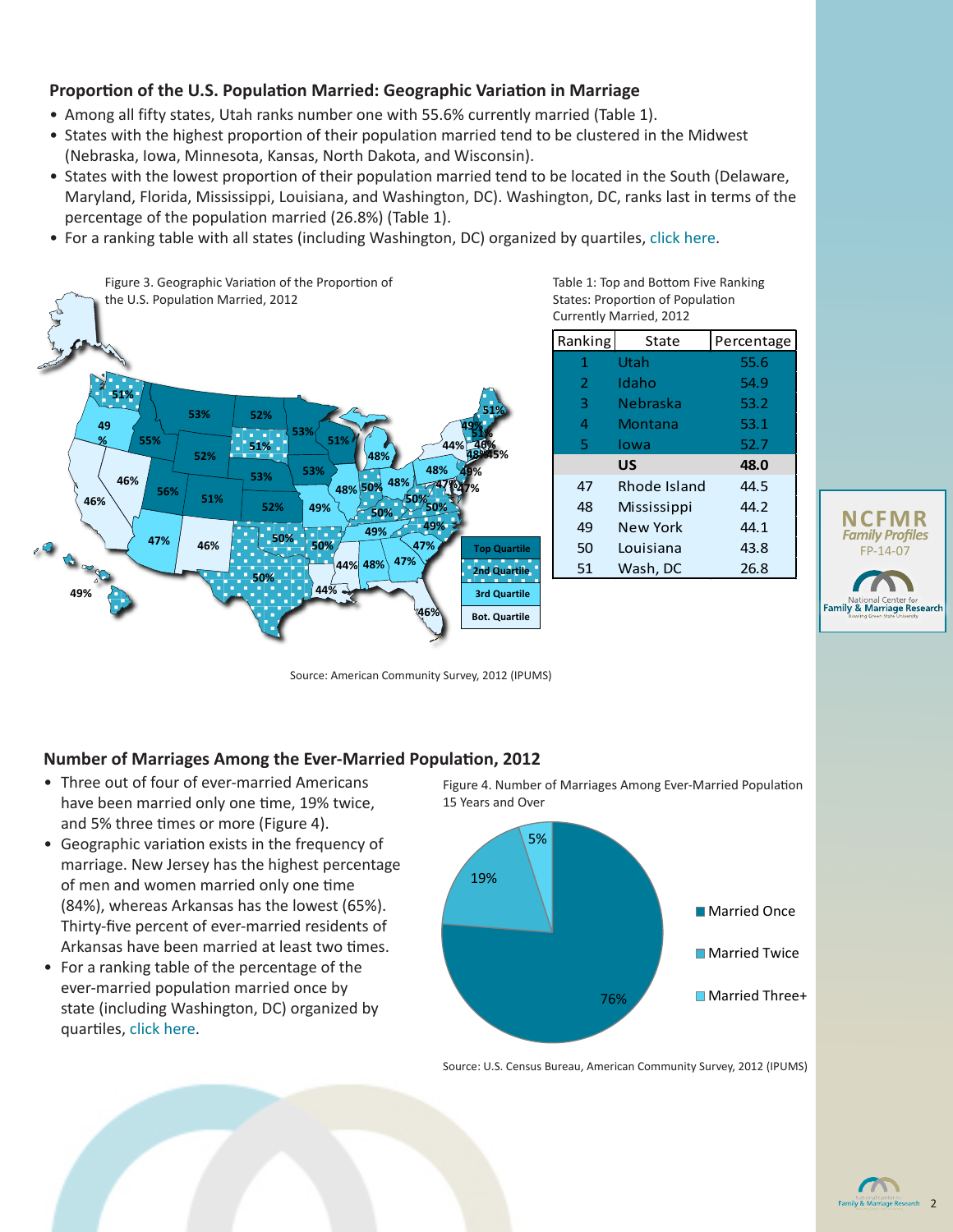### **Proportion of the U.S. Population Married: Geographic Variation in Marriage**

- Among all fifty states, Utah ranks number one with 55.6% currently married (Table 1).
- States with the highest proportion of their population married tend to be clustered in the Midwest (Nebraska, Iowa, Minnesota, Kansas, North Dakota, and Wisconsin).
- States with the lowest proportion of their population married tend to be located in the South (Delaware, Maryland, Florida, Mississippi, Louisiana, and Washington, DC). Washington, DC, ranks last in terms of the percentage of the population married (26.8%) (Table 1).
- For a ranking table with all states (including Washington, DC) organized by quartiles, [click here](#page-2-0).



Ranking State Percentage 1 Utah 55.6 Table 1: Top and Bottom Five Ranking States: Proportion of Population Currently Married, 2012

| NAIIKIIIK | วเaเe        | Percentage |  |
|-----------|--------------|------------|--|
| 1         | Utah         | 55.6       |  |
| 2         | Idaho        | 54.9       |  |
| 3         | Nebraska     | 53.2       |  |
| 4         | Montana      | 53.1       |  |
| 5         | lowa         | 52.7       |  |
|           | <b>US</b>    | 48.0       |  |
| 47        | Rhode Island | 44.5       |  |
| 48        | Mississippi  | 44.2       |  |
| 49        | New York     | 44.1       |  |
| 50        | Louisiana    | 43.8       |  |
| 51        | Wash, DC     | 26.8       |  |
|           |              |            |  |



Source: American Community Survey, 2012 (IPUMS)

#### **Number of Marriages Among the Ever-Married Population, 2012**

- Three out of four of ever-married Americans have been married only one time, 19% twice, and 5% three times or more (Figure 4).
- Geographic variation exists in the frequency of marriage. New Jersey has the highest percentage of men and women married only one time (84%), whereas Arkansas has the lowest (65%). Thirty-five percent of ever-married residents of Arkansas have been married at least two times.
- For a ranking table of the percentage of the ever-married population married once by state (including Washington, DC) organized by quartiles, [click here.](#page-2-0)

Figure 4. Number of Marriages Among Ever-Married Population 15 Years and Over



Source: U.S. Census Bureau, American Community Survey, 2012 (IPUMS)